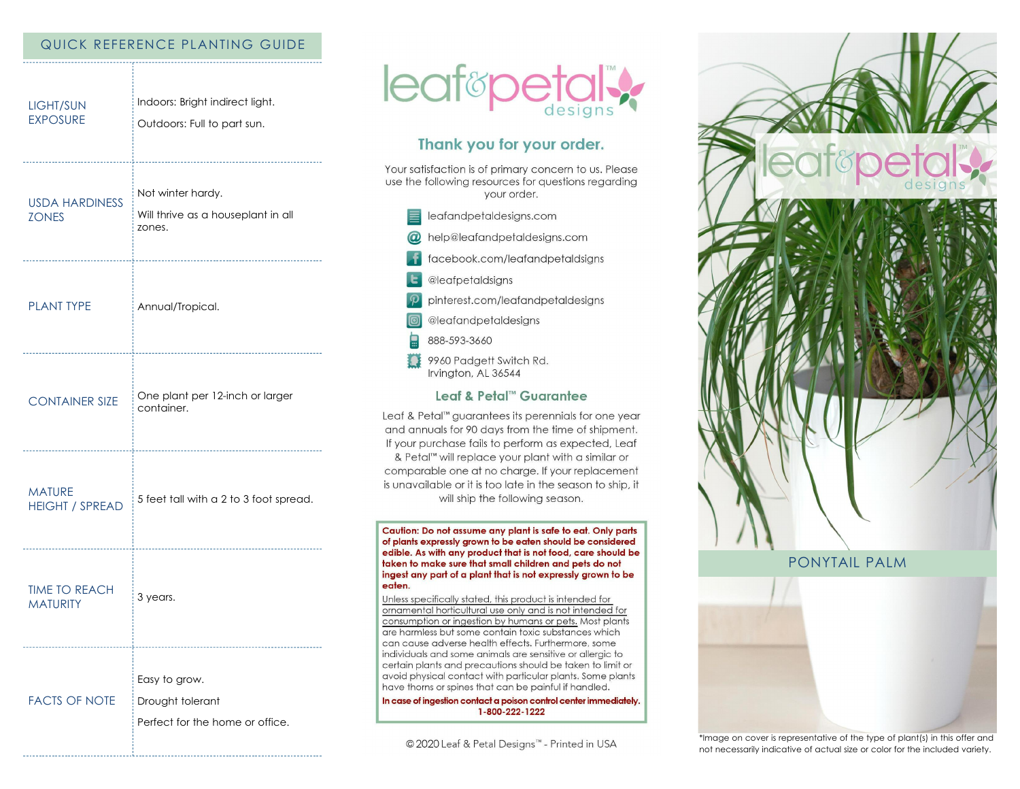### QUICK REFERENCE PLANTING GUIDE

| LIGHT/SUN<br><b>EXPOSURE</b>            | Indoors: Bright indirect light.<br>Outdoors: Full to part sun.                |
|-----------------------------------------|-------------------------------------------------------------------------------|
| <b>USDA HARDINESS</b><br><b>ZONES</b>   | Not winter hardy.<br>Will thrive as a houseplant in all<br>zones.             |
| <b>PLANT TYPE</b>                       | Annual/Tropical.                                                              |
| <b>CONTAINER SIZE</b>                   | One plant per 12-inch or larger<br>container.<br>---------------------------- |
| <b>MATURE</b><br><b>HEIGHT / SPREAD</b> | 5 feet tall with a 2 to 3 foot spread.                                        |
| <b>TIME TO REACH</b><br><b>MATURITY</b> | 3 years.                                                                      |
| <b>FACTS OF NOTE</b>                    | <br>Easy to grow.<br>Drought tolerant<br>Perfect for the home or office.      |



# Thank you for your order.

Your satisfaction is of primary concern to us. Please use the following resources for questions regarding your order.

- $\equiv$  leafandpetaldesigns.com
- @ help@leafandpetaldesigns.com
- facebook.com/leafandpetaldsigns
- **L** @leafpetaldsigns
- pinterest.com/leafandpetaldesigns

@leafandpetaldesigns

- 888-593-3660
- 9960 Padgett Switch Rd. Irvington, AL 36544

# Leaf & Petal™ Guarantee

Leaf & Petal™ guarantees its perennials for one year and annuals for 90 days from the time of shipment. If your purchase fails to perform as expected, Leaf & Petal<sup>™</sup> will replace your plant with a similar or comparable one at no charge. If your replacement is unavailable or it is too late in the season to ship, it will ship the following season.

Caution: Do not assume any plant is safe to eat. Only parts of plants expressly grown to be eaten should be considered edible. As with any product that is not food, care should be taken to make sure that small children and pets do not ingest any part of a plant that is not expressly grown to be eaten.

Unless specifically stated, this product is intended for ornamental horticultural use only and is not intended for consumption or ingestion by humans or pets. Most plants are harmless but some contain toxic substances which can cause adverse health effects. Furthermore, some individuals and some animals are sensitive or allergic to certain plants and precautions should be taken to limit or avoid physical contact with particular plants. Some plants have thorns or spines that can be painful if handled.

In case of ingestion contact a poison control center immediately. 1-800-222-1222

© 2020 Leaf & Petal Designs™ - Printed in USA







\*Image on cover is representative of the type of plant(s) in this offer and not necessarily indicative of actual size or color for the included variety.